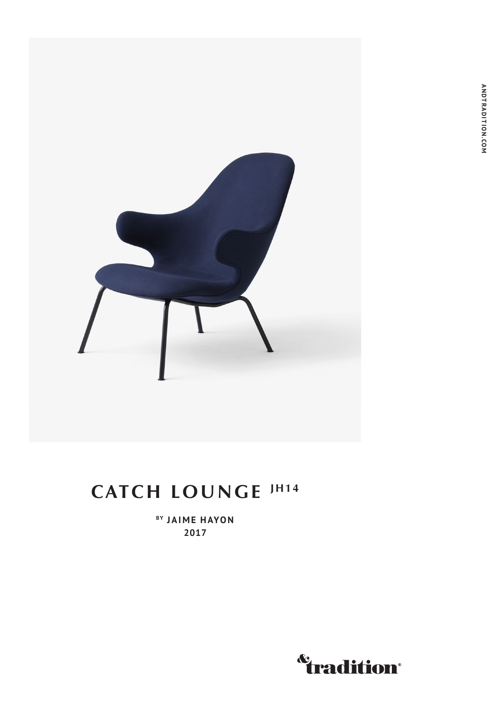

## **CATCH LOUNGE JH14**

**BY JAIME HAYON 2017**

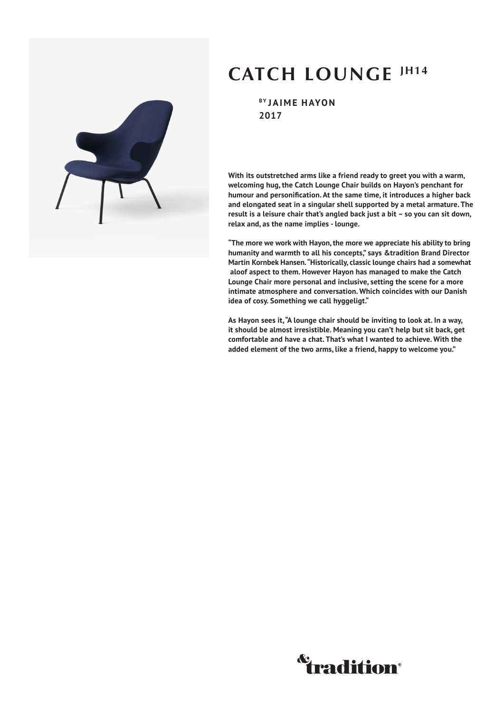## **CATCH LOUNGE JH14**

**BY JAIME HAYON 2017**

**With its outstretched arms like a friend ready to greet you with a warm, welcoming hug, the Catch Lounge Chair builds on Hayon's penchant for humour and personification. At the same time, it introduces a higher back and elongated seat in a singular shell supported by a metal armature. The result is a leisure chair that's angled back just a bit – so you can sit down, relax and, as the name implies - lounge.** 

**"The more we work with Hayon, the more we appreciate his ability to bring humanity and warmth to all his concepts," says &tradition Brand Director Martin Kornbek Hansen. "Historically, classic lounge chairs had a somewhat aloof aspect to them. However Hayon has managed to make the Catch Lounge Chair more personal and inclusive, setting the scene for a more intimate atmosphere and conversation. Which coincides with our Danish idea of cosy. Something we call hyggeligt."**

**As Hayon sees it, "A lounge chair should be inviting to look at. In a way, it should be almost irresistible. Meaning you can't help but sit back, get comfortable and have a chat. That's what I wanted to achieve. With the added element of the two arms, like a friend, happy to welcome you."**



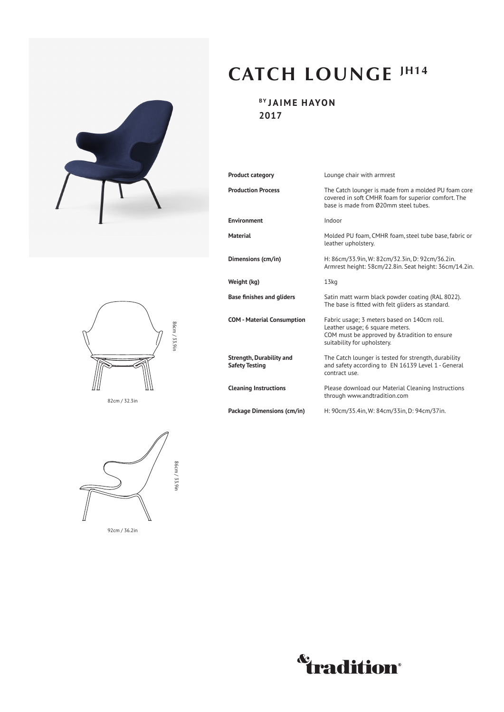



82cm / 32.3in



92cm / 36.2in

## **CATCH LOUNGE JH14**

**BY JAIME HAYON 2017**

| Product category                                  | Lounge chair with armrest                                                                                                                                      |
|---------------------------------------------------|----------------------------------------------------------------------------------------------------------------------------------------------------------------|
| <b>Production Process</b>                         | The Catch lounger is made from a molded PU foam core<br>covered in soft CMHR foam for superior comfort. The<br>base is made from Ø20mm steel tubes.            |
| <b>Environment</b>                                | Indoor                                                                                                                                                         |
| <b>Material</b>                                   | Molded PU foam, CMHR foam, steel tube base, fabric or<br>leather upholstery.                                                                                   |
| Dimensions (cm/in)                                | H: 86cm/33.9in, W: 82cm/32.3in, D: 92cm/36.2in.<br>Armrest height: 58cm/22.8in. Seat height: 36cm/14.2in.                                                      |
| Weight (kg)                                       | 13 <sub>kq</sub>                                                                                                                                               |
| <b>Base finishes and gliders</b>                  | Satin matt warm black powder coating (RAL 8022).<br>The base is fitted with felt gliders as standard.                                                          |
| <b>COM - Material Consumption</b>                 | Fabric usage; 3 meters based on 140cm roll.<br>Leather usage; 6 square meters.<br>COM must be approved by & tradition to ensure<br>suitability for upholstery. |
| Strength, Durability and<br><b>Safety Testing</b> | The Catch lounger is tested for strength, durability<br>and safety according to EN 16139 Level 1 - General<br>contract use.                                    |
| <b>Cleaning Instructions</b>                      | Please download our Material Cleaning Instructions<br>through www.andtradition.com                                                                             |
| Package Dimensions (cm/in)                        | H: 90cm/35.4in, W: 84cm/33in, D: 94cm/37in.                                                                                                                    |

*<u><b><u>Cradition</u>*</u>